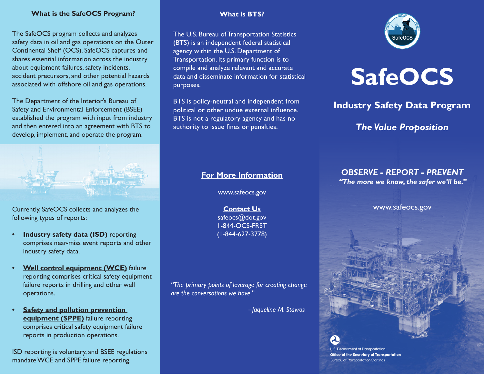### **What is the SafeOCS Program?**

The SafeOCS program collects and analyzes safety data in oil and gas operations on the Outer Continental Shelf (OCS). SafeOCS captures and shares essential information across the industry about equipment failures, safety incidents, accident precursors, and other potential hazards associated with offshore oil and gas operations.

The Department of the Interior's Bureau of Safety and Environmental Enforcement (BSEE) established the program with input from industry and then entered into an agreement with BTS to develop, implement, and operate the program.



Currently, SafeOCS collects and analyzes the following types of reports:

- **Industry safety data (ISD)** reporting comprises near-miss event reports and other industry safety data.
- **Well control equipment (WCE)** failure reporting comprises critical safety equipment failure reports in drilling and other well operations.
- **• Safety and pollution prevention equipment (SPPE)** failure reporting comprises critical safety equipment failure reports in production operations.

ISD reporting is voluntary, and BSEE regulations mandate WCE and SPPE failure reporting.

### **What is BTS?**

The U.S. Bureau of Transportation Statistics (BTS) is an independent federal statistical agency within the U.S. Department of Transportation. Its primary function is to compile and analyze relevant and accurate data and disseminate information for statistical purposes.

BTS is policy-neutral and independent from political or other undue external influence. BTS is not a regulatory agency and has no authority to issue fines or penalties.





# **Industry Safety Data Program**

# *The Value Proposition*

# **For More Information**

www.safeocs.gov

**Contact Us** safeocs@dot.gov 1-844-OCS-FRST (1-844-627-3778)

*"The primary points of leverage for creating change are the conversations we have."* 

 *–Jaqueline M. Stavros*

# *OBSERVE - REPORT - PREVENT*

*"The more we know, the safer we'll be."*

www.safeocs.gov

**U.S. Department of Transportation Office of the Secretary of Transportation Bureau of Transportation Statistics**